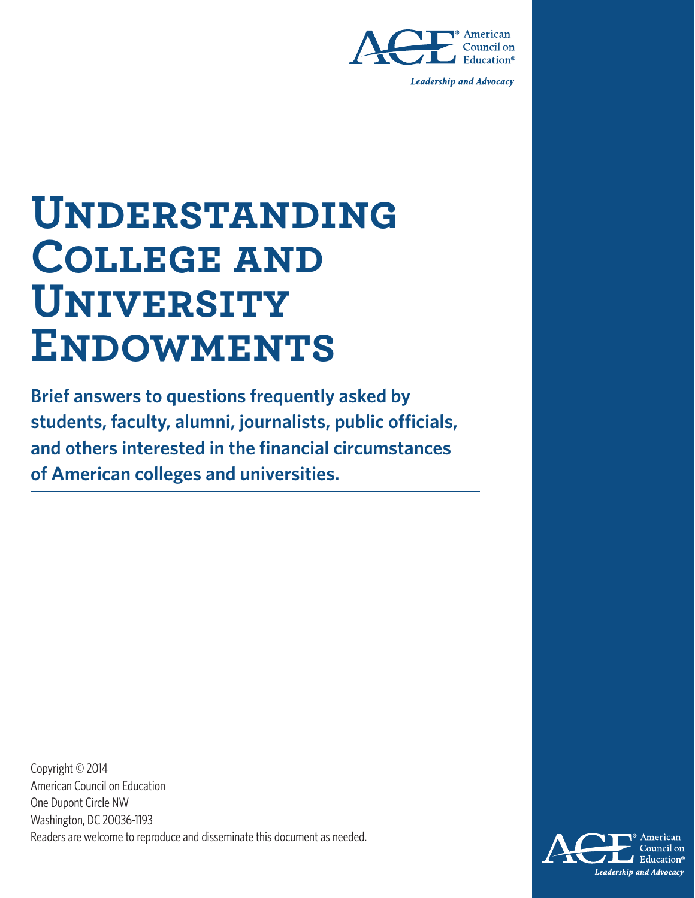

**Leadership and Advocacy** 

# **Understanding College and University ENDOWMENTS**

**Brief answers to questions frequently asked by students, faculty, alumni, journalists, public officials, and others interested in the financial circumstances of American colleges and universities.**

Copyright © 2014 American Council on Education One Dupont Circle NW Washington, DC 20036-1193 Readers are welcome to reproduce and disseminate this document as needed.

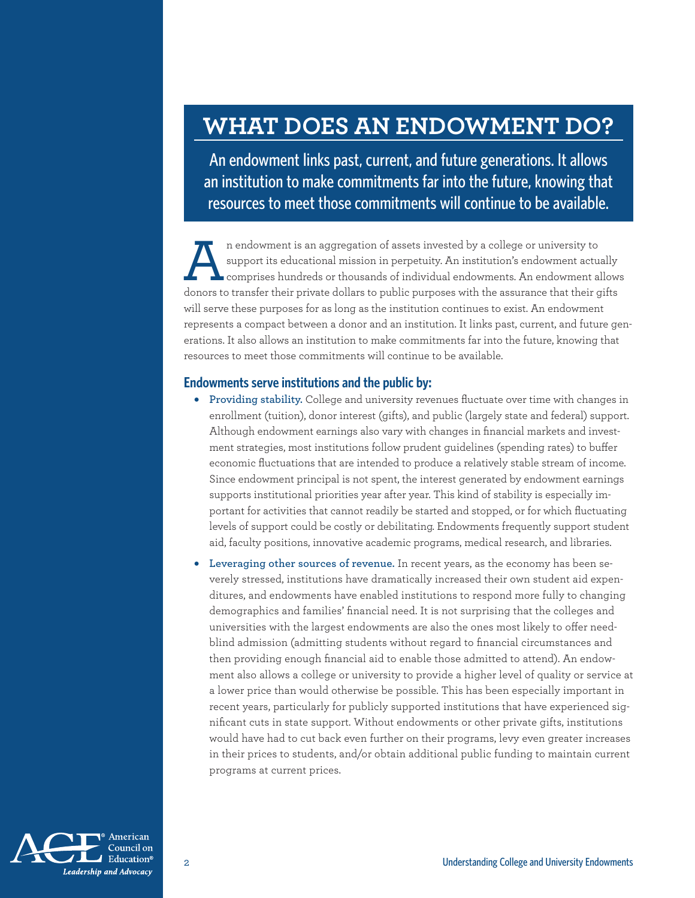## **WHAT DOES AN ENDOWMENT DO?**

An endowment links past, current, and future generations. It allows an institution to make commitments far into the future, knowing that resources to meet those commitments will continue to be available.

n endowment is an aggregation of assets invested by a college or university to<br>support its educational mission in perpetuity. An institution's endowment actual<br>comprises hundreds or thousands of individual endowments. An e support its educational mission in perpetuity. An institution's endowment actually comprises hundreds or thousands of individual endowments. An endowment allows donors to transfer their private dollars to public purposes with the assurance that their gifts will serve these purposes for as long as the institution continues to exist. An endowment represents a compact between a donor and an institution. It links past, current, and future generations. It also allows an institution to make commitments far into the future, knowing that resources to meet those commitments will continue to be available.

#### **Endowments serve institutions and the public by:**

- **Providing stability.** College and university revenues fluctuate over time with changes in enrollment (tuition), donor interest (gifts), and public (largely state and federal) support. Although endowment earnings also vary with changes in financial markets and investment strategies, most institutions follow prudent guidelines (spending rates) to buffer economic fluctuations that are intended to produce a relatively stable stream of income. Since endowment principal is not spent, the interest generated by endowment earnings supports institutional priorities year after year. This kind of stability is especially important for activities that cannot readily be started and stopped, or for which fluctuating levels of support could be costly or debilitating. Endowments frequently support student aid, faculty positions, innovative academic programs, medical research, and libraries.
- **Leveraging other sources of revenue.** In recent years, as the economy has been severely stressed, institutions have dramatically increased their own student aid expenditures, and endowments have enabled institutions to respond more fully to changing demographics and families' financial need. It is not surprising that the colleges and universities with the largest endowments are also the ones most likely to offer needblind admission (admitting students without regard to financial circumstances and then providing enough financial aid to enable those admitted to attend). An endowment also allows a college or university to provide a higher level of quality or service at a lower price than would otherwise be possible. This has been especially important in recent years, particularly for publicly supported institutions that have experienced significant cuts in state support. Without endowments or other private gifts, institutions would have had to cut back even further on their programs, levy even greater increases in their prices to students, and/or obtain additional public funding to maintain current programs at current prices.

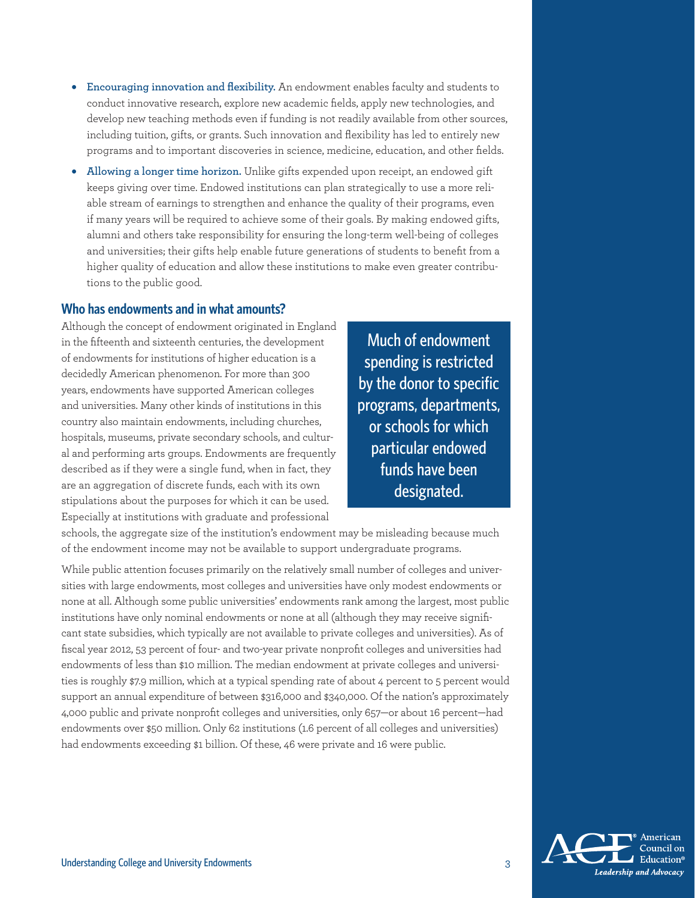- **Encouraging innovation and flexibility.** An endowment enables faculty and students to conduct innovative research, explore new academic fields, apply new technologies, and develop new teaching methods even if funding is not readily available from other sources, including tuition, gifts, or grants. Such innovation and flexibility has led to entirely new programs and to important discoveries in science, medicine, education, and other fields.
- **Allowing a longer time horizon.** Unlike gifts expended upon receipt, an endowed gift keeps giving over time. Endowed institutions can plan strategically to use a more reliable stream of earnings to strengthen and enhance the quality of their programs, even if many years will be required to achieve some of their goals. By making endowed gifts, alumni and others take responsibility for ensuring the long-term well-being of colleges and universities; their gifts help enable future generations of students to benefit from a higher quality of education and allow these institutions to make even greater contributions to the public good.

#### **Who has endowments and in what amounts?**

Although the concept of endowment originated in England in the fifteenth and sixteenth centuries, the development of endowments for institutions of higher education is a decidedly American phenomenon. For more than 300 years, endowments have supported American colleges and universities. Many other kinds of institutions in this country also maintain endowments, including churches, hospitals, museums, private secondary schools, and cultural and performing arts groups. Endowments are frequently described as if they were a single fund, when in fact, they are an aggregation of discrete funds, each with its own stipulations about the purposes for which it can be used. Especially at institutions with graduate and professional

Much of endowment spending is restricted by the donor to specific programs, departments, or schools for which particular endowed funds have been designated.

schools, the aggregate size of the institution's endowment may be misleading because much of the endowment income may not be available to support undergraduate programs.

While public attention focuses primarily on the relatively small number of colleges and universities with large endowments, most colleges and universities have only modest endowments or none at all. Although some public universities' endowments rank among the largest, most public institutions have only nominal endowments or none at all (although they may receive significant state subsidies, which typically are not available to private colleges and universities). As of fiscal year 2012, 53 percent of four- and two-year private nonprofit colleges and universities had endowments of less than \$10 million. The median endowment at private colleges and universities is roughly \$7.9 million, which at a typical spending rate of about 4 percent to 5 percent would support an annual expenditure of between \$316,000 and \$340,000. Of the nation's approximately 4,000 public and private nonprofit colleges and universities, only 657—or about 16 percent—had endowments over \$50 million. Only 62 institutions (1.6 percent of all colleges and universities) had endowments exceeding \$1 billion. Of these, 46 were private and 16 were public.

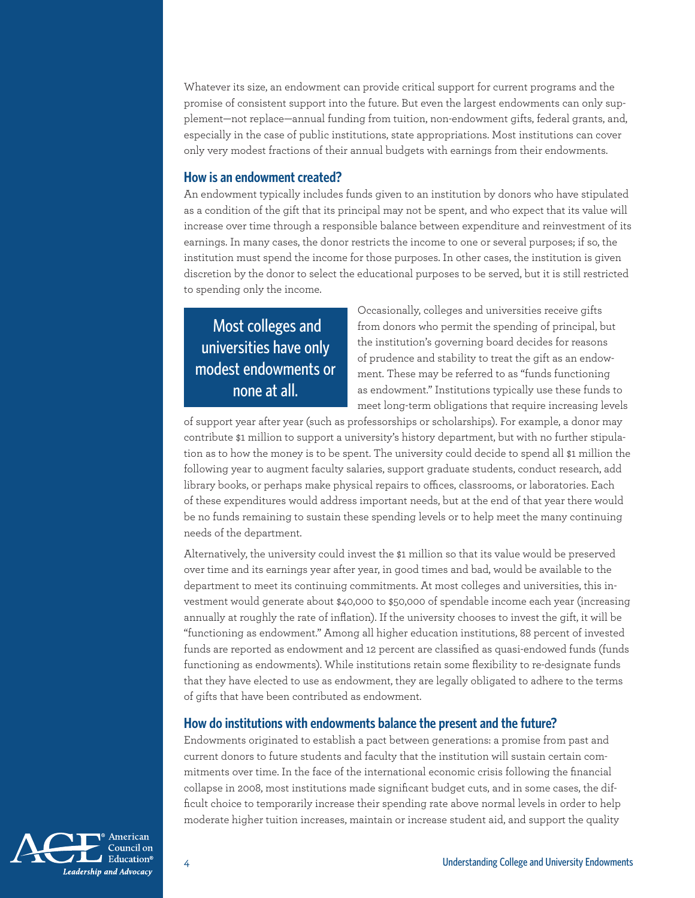Whatever its size, an endowment can provide critical support for current programs and the promise of consistent support into the future. But even the largest endowments can only supplement—not replace—annual funding from tuition, non-endowment gifts, federal grants, and, especially in the case of public institutions, state appropriations. Most institutions can cover only very modest fractions of their annual budgets with earnings from their endowments.

#### **How is an endowment created?**

An endowment typically includes funds given to an institution by donors who have stipulated as a condition of the gift that its principal may not be spent, and who expect that its value will increase over time through a responsible balance between expenditure and reinvestment of its earnings. In many cases, the donor restricts the income to one or several purposes; if so, the institution must spend the income for those purposes. In other cases, the institution is given discretion by the donor to select the educational purposes to be served, but it is still restricted to spending only the income.

### Most colleges and universities have only modest endowments or none at all.

Occasionally, colleges and universities receive gifts from donors who permit the spending of principal, but the institution's governing board decides for reasons of prudence and stability to treat the gift as an endowment. These may be referred to as "funds functioning as endowment." Institutions typically use these funds to meet long-term obligations that require increasing levels

of support year after year (such as professorships or scholarships). For example, a donor may contribute \$1 million to support a university's history department, but with no further stipulation as to how the money is to be spent. The university could decide to spend all \$1 million the following year to augment faculty salaries, support graduate students, conduct research, add library books, or perhaps make physical repairs to offices, classrooms, or laboratories. Each of these expenditures would address important needs, but at the end of that year there would be no funds remaining to sustain these spending levels or to help meet the many continuing needs of the department.

Alternatively, the university could invest the \$1 million so that its value would be preserved over time and its earnings year after year, in good times and bad, would be available to the department to meet its continuing commitments. At most colleges and universities, this investment would generate about \$40,000 to \$50,000 of spendable income each year (increasing annually at roughly the rate of inflation). If the university chooses to invest the gift, it will be "functioning as endowment." Among all higher education institutions, 88 percent of invested funds are reported as endowment and 12 percent are classified as quasi-endowed funds (funds functioning as endowments). While institutions retain some flexibility to re-designate funds that they have elected to use as endowment, they are legally obligated to adhere to the terms of gifts that have been contributed as endowment.

#### **How do institutions with endowments balance the present and the future?**

Endowments originated to establish a pact between generations: a promise from past and current donors to future students and faculty that the institution will sustain certain commitments over time. In the face of the international economic crisis following the financial collapse in 2008, most institutions made significant budget cuts, and in some cases, the difficult choice to temporarily increase their spending rate above normal levels in order to help moderate higher tuition increases, maintain or increase student aid, and support the quality

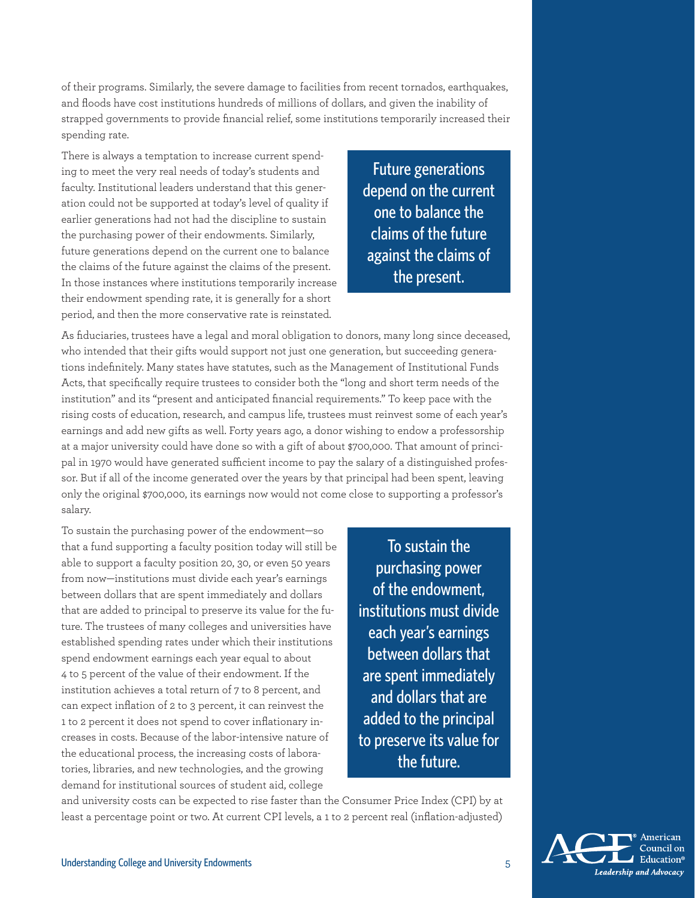of their programs. Similarly, the severe damage to facilities from recent tornados, earthquakes, and floods have cost institutions hundreds of millions of dollars, and given the inability of strapped governments to provide financial relief, some institutions temporarily increased their spending rate.

There is always a temptation to increase current spending to meet the very real needs of today's students and faculty. Institutional leaders understand that this generation could not be supported at today's level of quality if earlier generations had not had the discipline to sustain the purchasing power of their endowments. Similarly, future generations depend on the current one to balance the claims of the future against the claims of the present. In those instances where institutions temporarily increase their endowment spending rate, it is generally for a short period, and then the more conservative rate is reinstated.

Future generations depend on the current one to balance the claims of the future against the claims of the present.

As fiduciaries, trustees have a legal and moral obligation to donors, many long since deceased, who intended that their gifts would support not just one generation, but succeeding generations indefinitely. Many states have statutes, such as the Management of Institutional Funds Acts, that specifically require trustees to consider both the "long and short term needs of the institution" and its "present and anticipated financial requirements." To keep pace with the rising costs of education, research, and campus life, trustees must reinvest some of each year's earnings and add new gifts as well. Forty years ago, a donor wishing to endow a professorship at a major university could have done so with a gift of about \$700,000. That amount of principal in 1970 would have generated sufficient income to pay the salary of a distinguished professor. But if all of the income generated over the years by that principal had been spent, leaving only the original \$700,000, its earnings now would not come close to supporting a professor's salary.

To sustain the purchasing power of the endowment—so that a fund supporting a faculty position today will still be able to support a faculty position 20, 30, or even 50 years from now—institutions must divide each year's earnings between dollars that are spent immediately and dollars that are added to principal to preserve its value for the future. The trustees of many colleges and universities have established spending rates under which their institutions spend endowment earnings each year equal to about 4 to 5 percent of the value of their endowment. If the institution achieves a total return of 7 to 8 percent, and can expect inflation of 2 to 3 percent, it can reinvest the 1 to 2 percent it does not spend to cover inflationary increases in costs. Because of the labor-intensive nature of the educational process, the increasing costs of laboratories, libraries, and new technologies, and the growing demand for institutional sources of student aid, college

To sustain the purchasing power of the endowment, institutions must divide each year's earnings between dollars that are spent immediately and dollars that are added to the principal to preserve its value for the future.

and university costs can be expected to rise faster than the Consumer Price Index (CPI) by at least a percentage point or two. At current CPI levels, a 1 to 2 percent real (inflation-adjusted)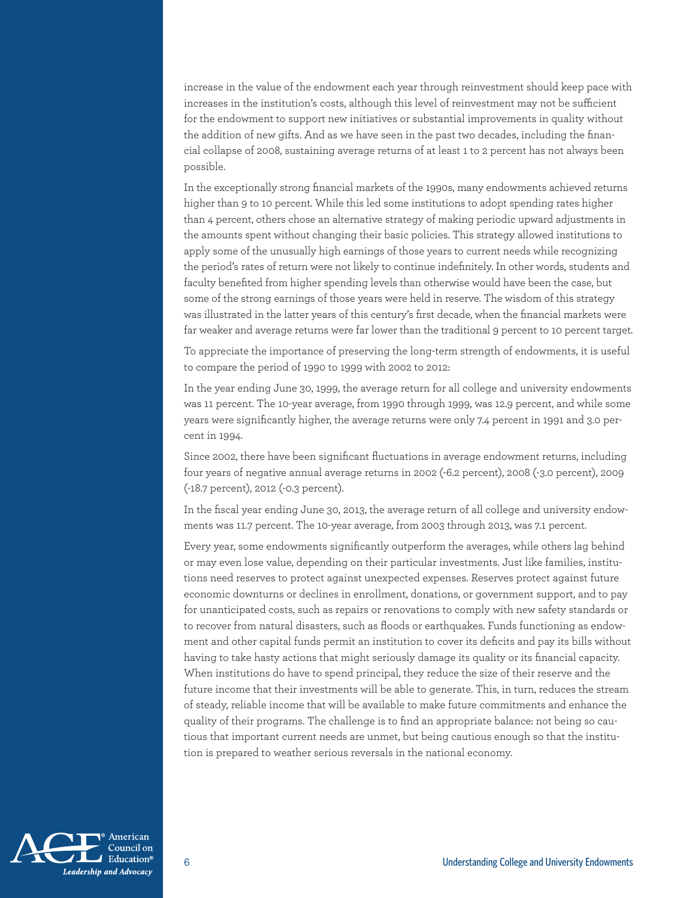increase in the value of the endowment each year through reinvestment should keep pace with increases in the institution's costs, although this level of reinvestment may not be sufficient for the endowment to support new initiatives or substantial improvements in quality without the addition of new gifts. And as we have seen in the past two decades, including the financial collapse of 2008, sustaining average returns of at least 1 to 2 percent has not always been possible.

In the exceptionally strong financial markets of the 1990s, many endowments achieved returns higher than 9 to 10 percent. While this led some institutions to adopt spending rates higher than 4 percent, others chose an alternative strategy of making periodic upward adjustments in the amounts spent without changing their basic policies. This strategy allowed institutions to apply some of the unusually high earnings of those years to current needs while recognizing the period's rates of return were not likely to continue indefinitely. In other words, students and faculty benefited from higher spending levels than otherwise would have been the case, but some of the strong earnings of those years were held in reserve. The wisdom of this strategy was illustrated in the latter years of this century's first decade, when the financial markets were far weaker and average returns were far lower than the traditional 9 percent to 10 percent target.

To appreciate the importance of preserving the long-term strength of endowments, it is useful to compare the period of 1990 to 1999 with 2002 to 2012:

In the year ending June 30, 1999, the average return for all college and university endowments was 11 percent. The 10-year average, from 1990 through 1999, was 12.9 percent, and while some years were significantly higher, the average returns were only 7.4 percent in 1991 and 3.0 percent in 1994.

Since 2002, there have been significant fluctuations in average endowment returns, including four years of negative annual average returns in 2002 (-6.2 percent), 2008 (-3.0 percent), 2009 (-18.7 percent), 2012 (-0.3 percent).

In the fiscal year ending June 30, 2013, the average return of all college and university endowments was 11.7 percent. The 10-year average, from 2003 through 2013, was 7.1 percent.

Every year, some endowments significantly outperform the averages, while others lag behind or may even lose value, depending on their particular investments. Just like families, institutions need reserves to protect against unexpected expenses. Reserves protect against future economic downturns or declines in enrollment, donations, or government support, and to pay for unanticipated costs, such as repairs or renovations to comply with new safety standards or to recover from natural disasters, such as floods or earthquakes. Funds functioning as endowment and other capital funds permit an institution to cover its deficits and pay its bills without having to take hasty actions that might seriously damage its quality or its financial capacity. When institutions do have to spend principal, they reduce the size of their reserve and the future income that their investments will be able to generate. This, in turn, reduces the stream of steady, reliable income that will be available to make future commitments and enhance the quality of their programs. The challenge is to find an appropriate balance: not being so cautious that important current needs are unmet, but being cautious enough so that the institution is prepared to weather serious reversals in the national economy.

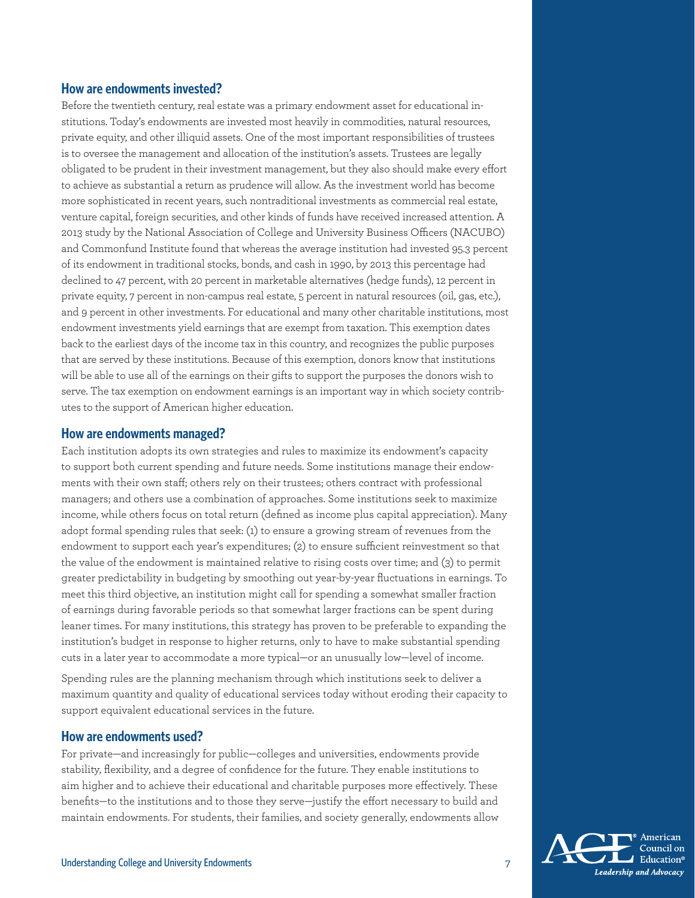#### **How are endowments invested?**

Before the twentieth century, real estate was a primary endowment asset for educational institutions. Today's endowments are invested most heavily in commodities, natural resources, private equity, and other illiquid assets. One of the most important responsibilities of trustees is to oversee the management and allocation of the institution's assets. Trustees are legally obligated to be prudent in their investment management, but they also should make every effort to achieve as substantial a return as prudence will allow. As the investment world has become more sophisticated in recent years, such nontraditional investments as commercial real estate, venture capital, foreign securities, and other kinds of funds have received increased attention. A 2013 study by the National Association of College and University Business Officers (NACUBO) and Commonfund Institute found that whereas the average institution had invested 95.3 percent of its endowment in traditional stocks, bonds, and cash in 1990, by 2013 this percentage had declined to 47 percent, with 20 percent in marketable alternatives (hedge funds), 12 percent in private equity, 7 percent in non-campus real estate, 5 percent in natural resources (oil, gas, etc.), and 9 percent in other investments. For educational and many other charitable institutions, most endowment investments yield earnings that are exempt from taxation. This exemption dates back to the earliest days of the income tax in this country, and recognizes the public purposes that are served by these institutions. Because of this exemption, donors know that institutions will be able to use all of the earnings on their gifts to support the purposes the donors wish to serve. The tax exemption on endowment earnings is an important way in which society contributes to the support of American higher education.

#### **How are endowments managed?**

Each institution adopts its own strategies and rules to maximize its endowment's capacity to support both current spending and future needs. Some institutions manage their endowments with their own staff; others rely on their trustees; others contract with professional managers; and others use a combination of approaches. Some institutions seek to maximize income, while others focus on total return (defined as income plus capital appreciation). Many adopt formal spending rules that seek: (1) to ensure a growing stream of revenues from the endowment to support each year's expenditures; (2) to ensure sufficient reinvestment so that the value of the endowment is maintained relative to rising costs over time; and (3) to permit greater predictability in budgeting by smoothing out year-by-year fluctuations in earnings. To meet this third objective, an institution might call for spending a somewhat smaller fraction of earnings during favorable periods so that somewhat larger fractions can be spent during leaner times. For many institutions, this strategy has proven to be preferable to expanding the institution's budget in response to higher returns, only to have to make substantial spending cuts in a later year to accommodate a more typical—or an unusually low—level of income.

Spending rules are the planning mechanism through which institutions seek to deliver a maximum quantity and quality of educational services today without eroding their capacity to support equivalent educational services in the future.

#### **How are endowments used?**

For private—and increasingly for public—colleges and universities, endowments provide stability, flexibility, and a degree of confidence for the future. They enable institutions to aim higher and to achieve their educational and charitable purposes more effectively. These benefits—to the institutions and to those they serve—justify the effort necessary to build and maintain endowments. For students, their families, and society generally, endowments allow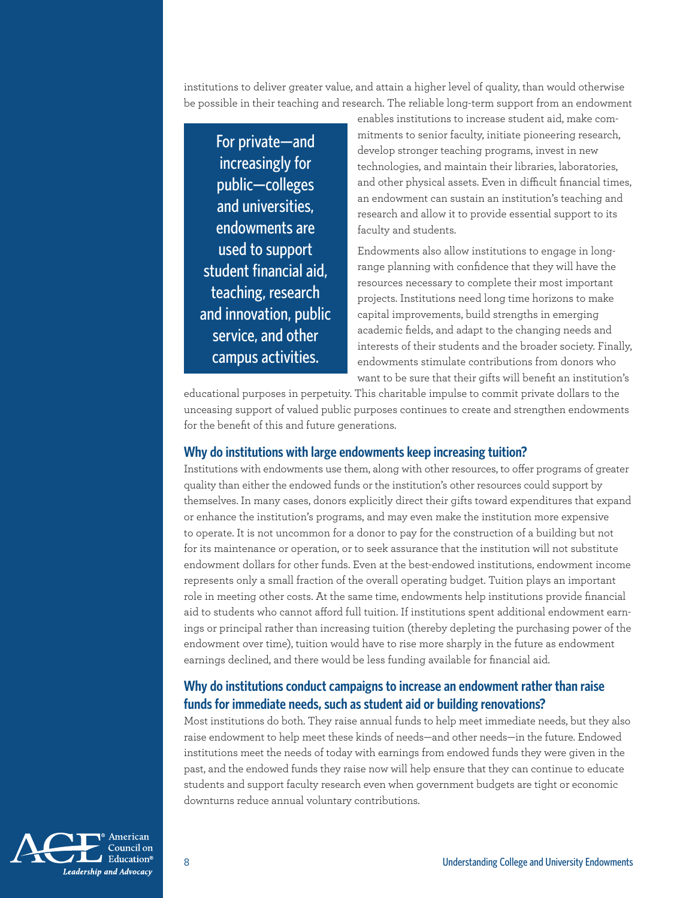institutions to deliver greater value, and attain a higher level of quality, than would otherwise be possible in their teaching and research. The reliable long-term support from an endowment

For private—and increasingly for public—colleges and universities, endowments are used to support student financial aid, teaching, research and innovation, public service, and other campus activities.

enables institutions to increase student aid, make commitments to senior faculty, initiate pioneering research, develop stronger teaching programs, invest in new technologies, and maintain their libraries, laboratories, and other physical assets. Even in difficult financial times, an endowment can sustain an institution's teaching and research and allow it to provide essential support to its faculty and students.

Endowments also allow institutions to engage in longrange planning with confidence that they will have the resources necessary to complete their most important projects. Institutions need long time horizons to make capital improvements, build strengths in emerging academic fields, and adapt to the changing needs and interests of their students and the broader society. Finally, endowments stimulate contributions from donors who want to be sure that their gifts will benefit an institution's

educational purposes in perpetuity. This charitable impulse to commit private dollars to the unceasing support of valued public purposes continues to create and strengthen endowments for the benefit of this and future generations.

#### **Why do institutions with large endowments keep increasing tuition?**

Institutions with endowments use them, along with other resources, to offer programs of greater quality than either the endowed funds or the institution's other resources could support by themselves. In many cases, donors explicitly direct their gifts toward expenditures that expand or enhance the institution's programs, and may even make the institution more expensive to operate. It is not uncommon for a donor to pay for the construction of a building but not for its maintenance or operation, or to seek assurance that the institution will not substitute endowment dollars for other funds. Even at the best-endowed institutions, endowment income represents only a small fraction of the overall operating budget. Tuition plays an important role in meeting other costs. At the same time, endowments help institutions provide financial aid to students who cannot afford full tuition. If institutions spent additional endowment earnings or principal rather than increasing tuition (thereby depleting the purchasing power of the endowment over time), tuition would have to rise more sharply in the future as endowment earnings declined, and there would be less funding available for financial aid.

#### **Why do institutions conduct campaigns to increase an endowment rather than raise funds for immediate needs, such as student aid or building renovations?**

Most institutions do both. They raise annual funds to help meet immediate needs, but they also raise endowment to help meet these kinds of needs—and other needs—in the future. Endowed institutions meet the needs of today with earnings from endowed funds they were given in the past, and the endowed funds they raise now will help ensure that they can continue to educate students and support faculty research even when government budgets are tight or economic downturns reduce annual voluntary contributions.

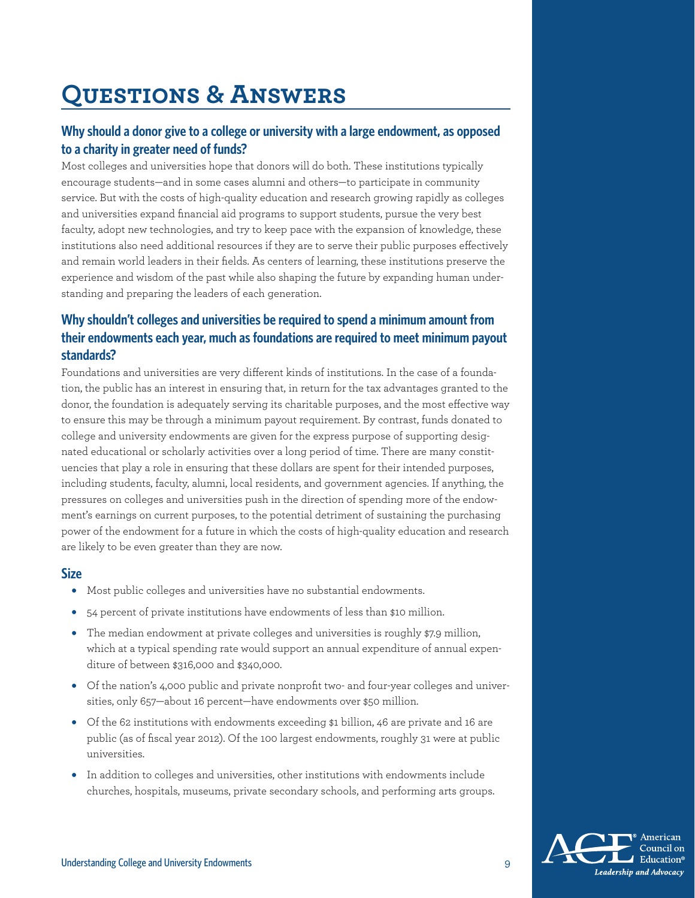# **Questions & Answers**

#### **Why should a donor give to a college or university with a large endowment, as opposed to a charity in greater need of funds?**

Most colleges and universities hope that donors will do both. These institutions typically encourage students—and in some cases alumni and others—to participate in community service. But with the costs of high-quality education and research growing rapidly as colleges and universities expand financial aid programs to support students, pursue the very best faculty, adopt new technologies, and try to keep pace with the expansion of knowledge, these institutions also need additional resources if they are to serve their public purposes effectively and remain world leaders in their fields. As centers of learning, these institutions preserve the experience and wisdom of the past while also shaping the future by expanding human understanding and preparing the leaders of each generation.

#### **Why shouldn't colleges and universities be required to spend a minimum amount from their endowments each year, much as foundations are required to meet minimum payout standards?**

Foundations and universities are very different kinds of institutions. In the case of a foundation, the public has an interest in ensuring that, in return for the tax advantages granted to the donor, the foundation is adequately serving its charitable purposes, and the most effective way to ensure this may be through a minimum payout requirement. By contrast, funds donated to college and university endowments are given for the express purpose of supporting designated educational or scholarly activities over a long period of time. There are many constituencies that play a role in ensuring that these dollars are spent for their intended purposes, including students, faculty, alumni, local residents, and government agencies. If anything, the pressures on colleges and universities push in the direction of spending more of the endowment's earnings on current purposes, to the potential detriment of sustaining the purchasing power of the endowment for a future in which the costs of high-quality education and research are likely to be even greater than they are now.

#### **Size**

- Most public colleges and universities have no substantial endowments.
- 54 percent of private institutions have endowments of less than \$10 million.
- The median endowment at private colleges and universities is roughly \$7.9 million, which at a typical spending rate would support an annual expenditure of annual expenditure of between \$316,000 and \$340,000.
- Of the nation's 4,000 public and private nonprofit two- and four-year colleges and universities, only 657—about 16 percent—have endowments over \$50 million.
- Of the 62 institutions with endowments exceeding \$1 billion, 46 are private and 16 are public (as of fiscal year 2012). Of the 100 largest endowments, roughly 31 were at public universities.
- In addition to colleges and universities, other institutions with endowments include churches, hospitals, museums, private secondary schools, and performing arts groups.

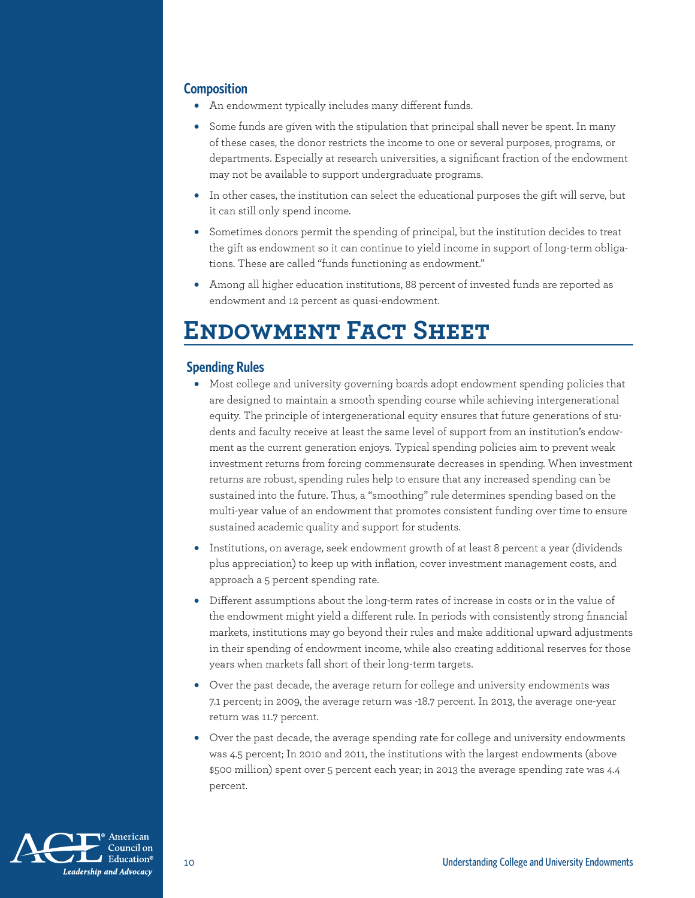#### **Composition**

- An endowment typically includes many different funds.
- Some funds are given with the stipulation that principal shall never be spent. In many of these cases, the donor restricts the income to one or several purposes, programs, or departments. Especially at research universities, a significant fraction of the endowment may not be available to support undergraduate programs.
- In other cases, the institution can select the educational purposes the gift will serve, but it can still only spend income.
- Sometimes donors permit the spending of principal, but the institution decides to treat the gift as endowment so it can continue to yield income in support of long-term obligations. These are called "funds functioning as endowment."
- Among all higher education institutions, 88 percent of invested funds are reported as endowment and 12 percent as quasi-endowment.

# **Endowment Fact Sheet**

#### **Spending Rules**

- Most college and university governing boards adopt endowment spending policies that are designed to maintain a smooth spending course while achieving intergenerational equity. The principle of intergenerational equity ensures that future generations of students and faculty receive at least the same level of support from an institution's endowment as the current generation enjoys. Typical spending policies aim to prevent weak investment returns from forcing commensurate decreases in spending. When investment returns are robust, spending rules help to ensure that any increased spending can be sustained into the future. Thus, a "smoothing" rule determines spending based on the multi-year value of an endowment that promotes consistent funding over time to ensure sustained academic quality and support for students.
- Institutions, on average, seek endowment growth of at least 8 percent a year (dividends plus appreciation) to keep up with inflation, cover investment management costs, and approach a 5 percent spending rate.
- Different assumptions about the long-term rates of increase in costs or in the value of the endowment might yield a different rule. In periods with consistently strong financial markets, institutions may go beyond their rules and make additional upward adjustments in their spending of endowment income, while also creating additional reserves for those years when markets fall short of their long-term targets.
- Over the past decade, the average return for college and university endowments was 7.1 percent; in 2009, the average return was -18.7 percent. In 2013, the average one-year return was 11.7 percent.
- Over the past decade, the average spending rate for college and university endowments was 4.5 percent; In 2010 and 2011, the institutions with the largest endowments (above \$500 million) spent over 5 percent each year; in 2013 the average spending rate was 4.4 percent.

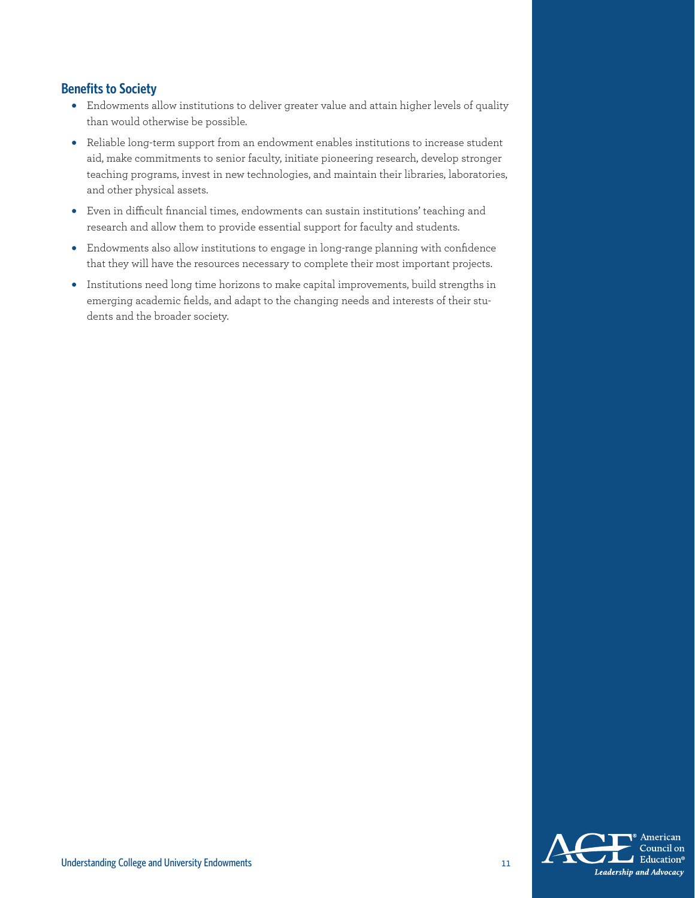#### **Benefits to Society**

- Endowments allow institutions to deliver greater value and attain higher levels of quality than would otherwise be possible.
- Reliable long-term support from an endowment enables institutions to increase student aid, make commitments to senior faculty, initiate pioneering research, develop stronger teaching programs, invest in new technologies, and maintain their libraries, laboratories, and other physical assets.
- Even in difficult financial times, endowments can sustain institutions' teaching and research and allow them to provide essential support for faculty and students.
- Endowments also allow institutions to engage in long-range planning with confidence that they will have the resources necessary to complete their most important projects.
- Institutions need long time horizons to make capital improvements, build strengths in emerging academic fields, and adapt to the changing needs and interests of their students and the broader society.